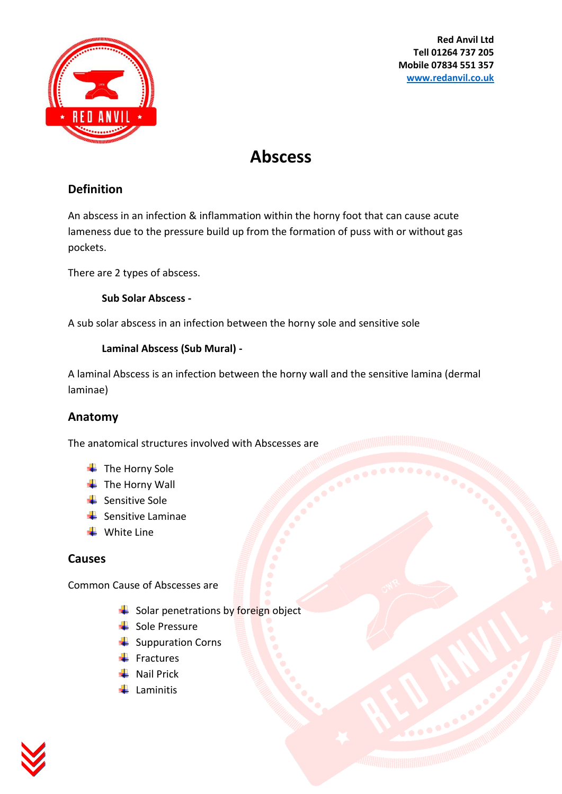

**Red Anvil Ltd Tell 01264 737 205 Mobile 07834 551 357 [www.redanvil.co.uk](http://www.redanvil.co.uk/)**

# **Abscess**

## **Definition**

An abscess in an infection & inflammation within the horny foot that can cause acute lameness due to the pressure build up from the formation of puss with or without gas pockets.

There are 2 types of abscess.

**Sub Solar Abscess -**

A sub solar abscess in an infection between the horny sole and sensitive sole

#### **Laminal Abscess (Sub Mural) -**

A laminal Abscess is an infection between the horny wall and the sensitive lamina (dermal laminae)

#### **Anatomy**

The anatomical structures involved with Abscesses are

- $\overline{\phantom{a}}$  The Horny Sole
- $\overline{\phantom{a}}$  The Horny Wall
- $\leftarrow$  Sensitive Sole
- $\frac{1}{\sqrt{2}}$  Sensitive Laminae
- $\frac{1}{\sqrt{2}}$  White Line

#### **Causes**

Common Cause of Abscesses are

- $\frac{1}{\sqrt{2}}$  Solar penetrations by foreign object
- $\frac{1}{2}$  Sole Pressure
- $\frac{1}{2}$  Suppuration Corns
- $\ddot{\bullet}$  Fractures
- $\blacksquare$  Nail Prick
- $\downarrow$  Laminitis

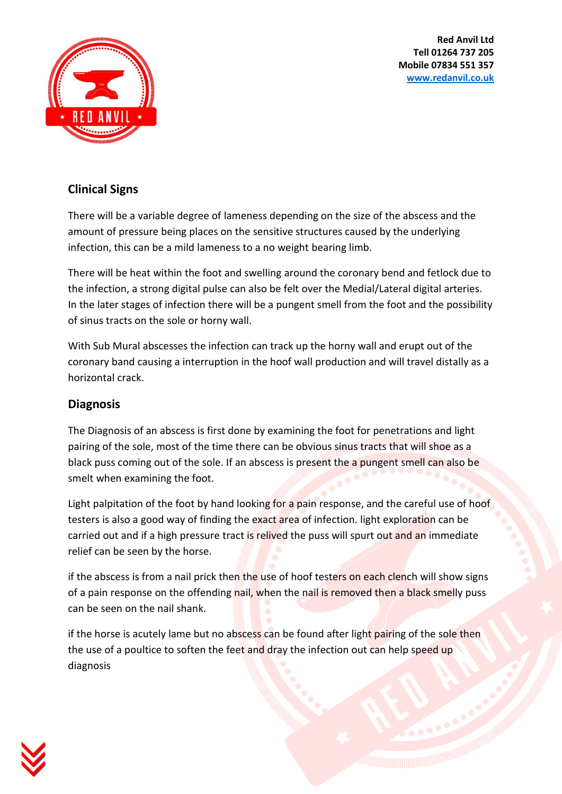**Red Anvil Ltd Tell 01264 737 205 Mobile 07834 551 357 [www.redanvil.co.uk](http://www.redanvil.co.uk/)**



## **Clinical Signs**

There will be a variable degree of lameness depending on the size of the abscess and the amount of pressure being places on the sensitive structures caused by the underlying infection, this can be a mild lameness to a no weight bearing limb.

There will be heat within the foot and swelling around the coronary bend and fetlock due to the infection, a strong digital pulse can also be felt over the Medial/Lateral digital arteries. In the later stages of infection there will be a pungent smell from the foot and the possibility of sinus tracts on the sole or horny wall.

With Sub Mural abscesses the infection can track up the horny wall and erupt out of the coronary band causing a interruption in the hoof wall production and will travel distally as a horizontal crack.

#### **Diagnosis**

The Diagnosis of an abscess is first done by examining the foot for penetrations and light pairing of the sole, most of the time there can be obvious sinus tracts that will shoe as a black puss coming out of the sole. If an abscess is present the a pungent smell can also be smelt when examining the foot.

Light palpitation of the foot by hand looking for a pain response, and the careful use of hoof testers is also a good way of finding the exact area of infection. light exploration can be carried out and if a high pressure tract is relived the puss will spurt out and an immediate relief can be seen by the horse.

if the abscess is from a nail prick then the use of hoof testers on each clench will show signs of a pain response on the offending nail, when the nail is removed then a black smelly puss can be seen on the nail shank.

if the horse is acutely lame but no abscess can be found after light pairing of the sole then the use of a poultice to soften the feet and dray the infection out can help speed up diagnosis